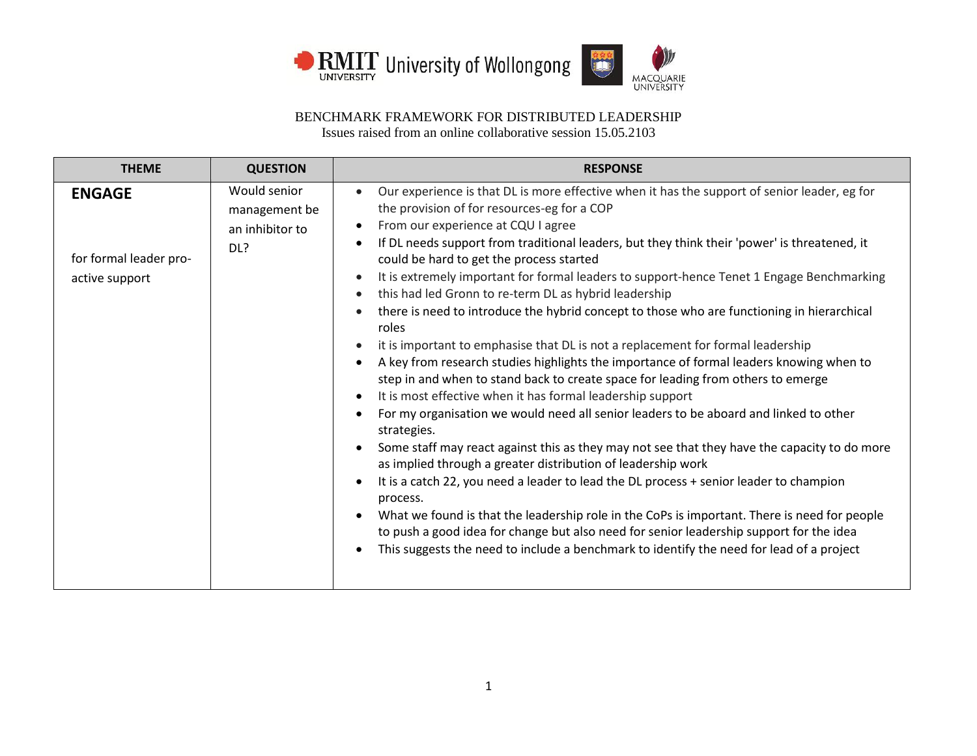



| <b>THEME</b>                                              | <b>QUESTION</b>                                         | <b>RESPONSE</b>                                                                                                                                                                                                                                                                                                                                                                                                                                                                                                                                                                                                                                                                                                                                                                                                                                                                                                                                                                                                                                                                                                                                                                                                                                                                                                                                                                                                                                                                                                                                                                                                                                                                                                                                                                       |
|-----------------------------------------------------------|---------------------------------------------------------|---------------------------------------------------------------------------------------------------------------------------------------------------------------------------------------------------------------------------------------------------------------------------------------------------------------------------------------------------------------------------------------------------------------------------------------------------------------------------------------------------------------------------------------------------------------------------------------------------------------------------------------------------------------------------------------------------------------------------------------------------------------------------------------------------------------------------------------------------------------------------------------------------------------------------------------------------------------------------------------------------------------------------------------------------------------------------------------------------------------------------------------------------------------------------------------------------------------------------------------------------------------------------------------------------------------------------------------------------------------------------------------------------------------------------------------------------------------------------------------------------------------------------------------------------------------------------------------------------------------------------------------------------------------------------------------------------------------------------------------------------------------------------------------|
| <b>ENGAGE</b><br>for formal leader pro-<br>active support | Would senior<br>management be<br>an inhibitor to<br>DL? | Our experience is that DL is more effective when it has the support of senior leader, eg for<br>$\bullet$<br>the provision of for resources-eg for a COP<br>From our experience at CQU I agree<br>$\bullet$<br>If DL needs support from traditional leaders, but they think their 'power' is threatened, it<br>$\bullet$<br>could be hard to get the process started<br>It is extremely important for formal leaders to support-hence Tenet 1 Engage Benchmarking<br>$\bullet$<br>this had led Gronn to re-term DL as hybrid leadership<br>$\bullet$<br>there is need to introduce the hybrid concept to those who are functioning in hierarchical<br>$\bullet$<br>roles<br>it is important to emphasise that DL is not a replacement for formal leadership<br>$\bullet$<br>A key from research studies highlights the importance of formal leaders knowing when to<br>$\bullet$<br>step in and when to stand back to create space for leading from others to emerge<br>It is most effective when it has formal leadership support<br>$\bullet$<br>For my organisation we would need all senior leaders to be aboard and linked to other<br>$\bullet$<br>strategies.<br>Some staff may react against this as they may not see that they have the capacity to do more<br>$\bullet$<br>as implied through a greater distribution of leadership work<br>It is a catch 22, you need a leader to lead the DL process + senior leader to champion<br>$\bullet$<br>process.<br>What we found is that the leadership role in the CoPs is important. There is need for people<br>$\bullet$<br>to push a good idea for change but also need for senior leadership support for the idea<br>This suggests the need to include a benchmark to identify the need for lead of a project<br>$\bullet$ |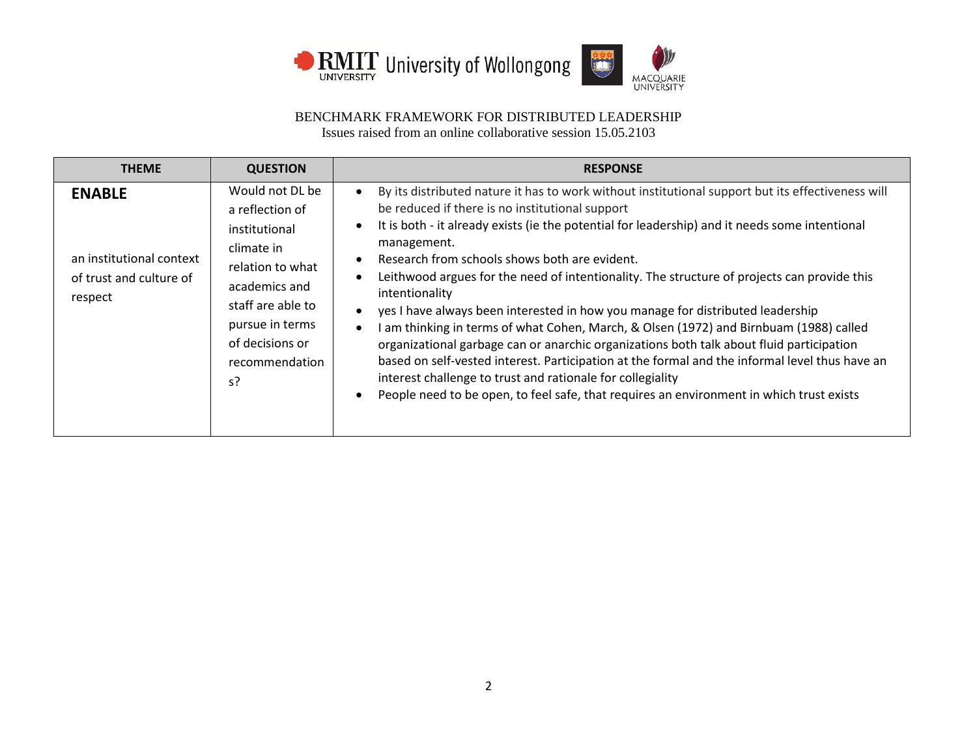



| <b>THEME</b>                                                                    | <b>QUESTION</b>                                                                                                                                                                           | <b>RESPONSE</b>                                                                                                                                                                                                                                                                                                                                                                                                                                                                                                                                                                                                                                                                                                                                                                                                                                                                                                                                                                                                                                                        |
|---------------------------------------------------------------------------------|-------------------------------------------------------------------------------------------------------------------------------------------------------------------------------------------|------------------------------------------------------------------------------------------------------------------------------------------------------------------------------------------------------------------------------------------------------------------------------------------------------------------------------------------------------------------------------------------------------------------------------------------------------------------------------------------------------------------------------------------------------------------------------------------------------------------------------------------------------------------------------------------------------------------------------------------------------------------------------------------------------------------------------------------------------------------------------------------------------------------------------------------------------------------------------------------------------------------------------------------------------------------------|
| <b>ENABLE</b><br>an institutional context<br>of trust and culture of<br>respect | Would not DL be<br>a reflection of<br>institutional<br>climate in<br>relation to what<br>academics and<br>staff are able to<br>pursue in terms<br>of decisions or<br>recommendation<br>s? | By its distributed nature it has to work without institutional support but its effectiveness will<br>$\bullet$<br>be reduced if there is no institutional support<br>It is both - it already exists (ie the potential for leadership) and it needs some intentional<br>$\bullet$<br>management.<br>Research from schools shows both are evident.<br>$\bullet$<br>Leithwood argues for the need of intentionality. The structure of projects can provide this<br>$\bullet$<br>intentionality<br>yes I have always been interested in how you manage for distributed leadership<br>$\bullet$<br>I am thinking in terms of what Cohen, March, & Olsen (1972) and Birnbuam (1988) called<br>$\bullet$<br>organizational garbage can or anarchic organizations both talk about fluid participation<br>based on self-vested interest. Participation at the formal and the informal level thus have an<br>interest challenge to trust and rationale for collegiality<br>People need to be open, to feel safe, that requires an environment in which trust exists<br>$\bullet$ |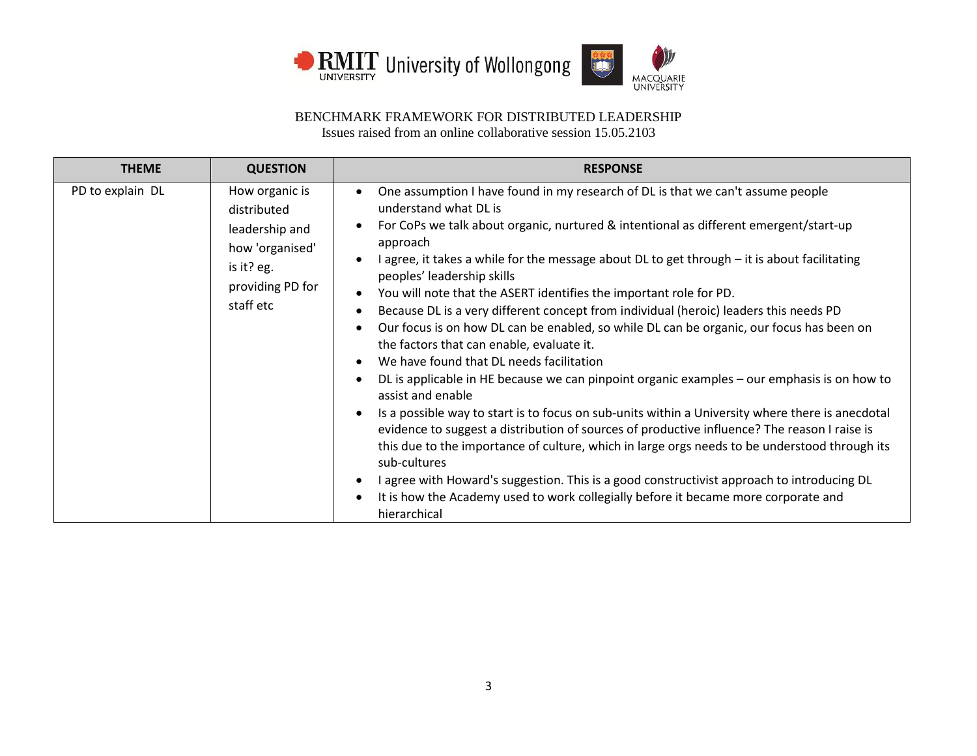



| <b>THEME</b>     | <b>QUESTION</b>                                                                                                   | <b>RESPONSE</b>                                                                                                                                                                                                                                                                                                                                                                                                                                                                                                                                                                                                                                                                                                                                                                                                                                                                                                                                                                                                                                                                                                                                                                                                                                                                                                                                                                                                                                                                |
|------------------|-------------------------------------------------------------------------------------------------------------------|--------------------------------------------------------------------------------------------------------------------------------------------------------------------------------------------------------------------------------------------------------------------------------------------------------------------------------------------------------------------------------------------------------------------------------------------------------------------------------------------------------------------------------------------------------------------------------------------------------------------------------------------------------------------------------------------------------------------------------------------------------------------------------------------------------------------------------------------------------------------------------------------------------------------------------------------------------------------------------------------------------------------------------------------------------------------------------------------------------------------------------------------------------------------------------------------------------------------------------------------------------------------------------------------------------------------------------------------------------------------------------------------------------------------------------------------------------------------------------|
| PD to explain DL | How organic is<br>distributed<br>leadership and<br>how 'organised'<br>is it? eg.<br>providing PD for<br>staff etc | One assumption I have found in my research of DL is that we can't assume people<br>$\bullet$<br>understand what DL is<br>For CoPs we talk about organic, nurtured & intentional as different emergent/start-up<br>$\bullet$<br>approach<br>I agree, it takes a while for the message about DL to get through - it is about facilitating<br>$\bullet$<br>peoples' leadership skills<br>You will note that the ASERT identifies the important role for PD.<br>$\bullet$<br>Because DL is a very different concept from individual (heroic) leaders this needs PD<br>Our focus is on how DL can be enabled, so while DL can be organic, our focus has been on<br>$\bullet$<br>the factors that can enable, evaluate it.<br>We have found that DL needs facilitation<br>$\bullet$<br>DL is applicable in HE because we can pinpoint organic examples - our emphasis is on how to<br>$\bullet$<br>assist and enable<br>Is a possible way to start is to focus on sub-units within a University where there is anecdotal<br>$\bullet$<br>evidence to suggest a distribution of sources of productive influence? The reason I raise is<br>this due to the importance of culture, which in large orgs needs to be understood through its<br>sub-cultures<br>I agree with Howard's suggestion. This is a good constructivist approach to introducing DL<br>$\bullet$<br>It is how the Academy used to work collegially before it became more corporate and<br>$\bullet$<br>hierarchical |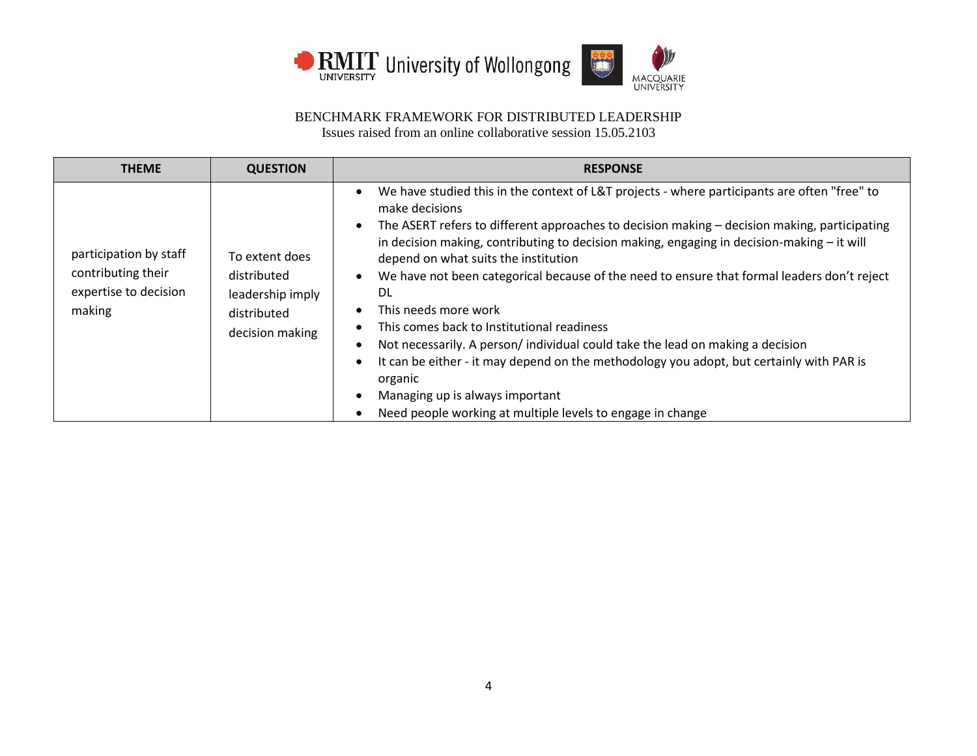



| <b>THEME</b>                                                                    | <b>QUESTION</b>                                                                     | <b>RESPONSE</b>                                                                                                                                                                                                                                                                                                                                                                                                                                                                                                                                                                                                                                                                                                                                                                                                                                                                                                                                 |
|---------------------------------------------------------------------------------|-------------------------------------------------------------------------------------|-------------------------------------------------------------------------------------------------------------------------------------------------------------------------------------------------------------------------------------------------------------------------------------------------------------------------------------------------------------------------------------------------------------------------------------------------------------------------------------------------------------------------------------------------------------------------------------------------------------------------------------------------------------------------------------------------------------------------------------------------------------------------------------------------------------------------------------------------------------------------------------------------------------------------------------------------|
| participation by staff<br>contributing their<br>expertise to decision<br>making | To extent does<br>distributed<br>leadership imply<br>distributed<br>decision making | We have studied this in the context of L&T projects - where participants are often "free" to<br>$\bullet$<br>make decisions<br>The ASERT refers to different approaches to decision making - decision making, participating<br>$\bullet$<br>in decision making, contributing to decision making, engaging in decision-making $-$ it will<br>depend on what suits the institution<br>We have not been categorical because of the need to ensure that formal leaders don't reject<br>$\bullet$<br>DL<br>This needs more work<br>$\bullet$<br>This comes back to Institutional readiness<br>$\bullet$<br>Not necessarily. A person/individual could take the lead on making a decision<br>$\bullet$<br>It can be either - it may depend on the methodology you adopt, but certainly with PAR is<br>$\bullet$<br>organic<br>Managing up is always important<br>$\bullet$<br>Need people working at multiple levels to engage in change<br>$\bullet$ |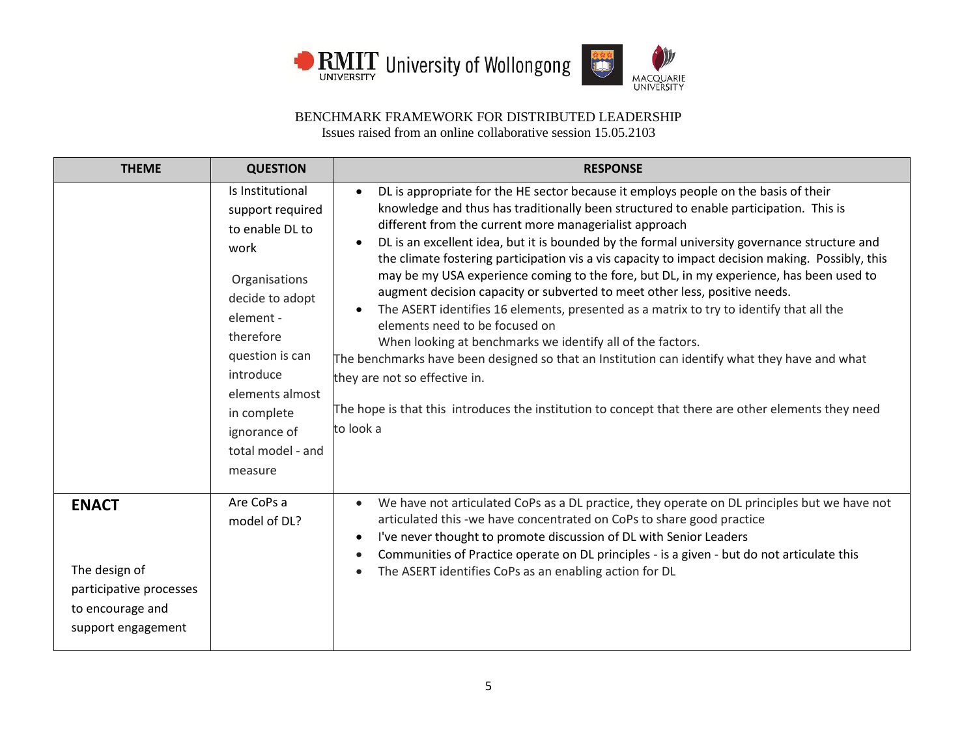



| <b>THEME</b>                                                                                       | <b>QUESTION</b>                                                                                                                                                                                                                                 | <b>RESPONSE</b>                                                                                                                                                                                                                                                                                                                                                                                                                                                                                                                                                                                                                                                                                                                                                                                                                                                                                                                                                                                                                                                                                             |
|----------------------------------------------------------------------------------------------------|-------------------------------------------------------------------------------------------------------------------------------------------------------------------------------------------------------------------------------------------------|-------------------------------------------------------------------------------------------------------------------------------------------------------------------------------------------------------------------------------------------------------------------------------------------------------------------------------------------------------------------------------------------------------------------------------------------------------------------------------------------------------------------------------------------------------------------------------------------------------------------------------------------------------------------------------------------------------------------------------------------------------------------------------------------------------------------------------------------------------------------------------------------------------------------------------------------------------------------------------------------------------------------------------------------------------------------------------------------------------------|
|                                                                                                    | Is Institutional<br>support required<br>to enable DL to<br>work<br>Organisations<br>decide to adopt<br>element -<br>therefore<br>question is can<br>introduce<br>elements almost<br>in complete<br>ignorance of<br>total model - and<br>measure | DL is appropriate for the HE sector because it employs people on the basis of their<br>$\bullet$<br>knowledge and thus has traditionally been structured to enable participation. This is<br>different from the current more managerialist approach<br>DL is an excellent idea, but it is bounded by the formal university governance structure and<br>$\bullet$<br>the climate fostering participation vis a vis capacity to impact decision making. Possibly, this<br>may be my USA experience coming to the fore, but DL, in my experience, has been used to<br>augment decision capacity or subverted to meet other less, positive needs.<br>The ASERT identifies 16 elements, presented as a matrix to try to identify that all the<br>$\bullet$<br>elements need to be focused on<br>When looking at benchmarks we identify all of the factors.<br>The benchmarks have been designed so that an Institution can identify what they have and what<br>they are not so effective in.<br>The hope is that this introduces the institution to concept that there are other elements they need<br>to look a |
| <b>ENACT</b><br>The design of<br>participative processes<br>to encourage and<br>support engagement | Are CoPs a<br>model of DL?                                                                                                                                                                                                                      | We have not articulated CoPs as a DL practice, they operate on DL principles but we have not<br>$\bullet$<br>articulated this -we have concentrated on CoPs to share good practice<br>I've never thought to promote discussion of DL with Senior Leaders<br>$\bullet$<br>Communities of Practice operate on DL principles - is a given - but do not articulate this<br>$\bullet$<br>The ASERT identifies CoPs as an enabling action for DL<br>$\bullet$                                                                                                                                                                                                                                                                                                                                                                                                                                                                                                                                                                                                                                                     |